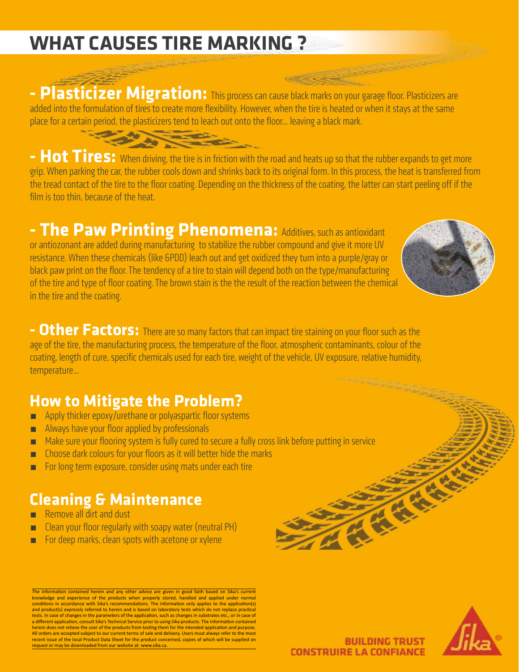# **WHAT CAUSES TIRE MARKING ?**

**- Plasticizer Migration:** This process can cause black marks on your garage floor. Plasticizers are added into the formulation of tires to create more flexibility. However, when the tire is heated or when it stays at the same place for a certain period, the plasticizers tend to leach out onto the floor... leaving a black mark.

**- Hot Tires:** When driving, the tire is in friction with the road and heats up so that the rubber expands to get more grip. When parking the car, the rubber cools down and shrinks back to its original form. In this process, the heat is transferred from the tread contact of the tire to the floor coating. Depending on the thickness of the coating, the latter can start peeling off if the film is too thin, because of the heat.

**- The Paw Printing Phenomena:** Additives, such as antioxidant or antiozonant are added during manufacturing to stabilize the rubber compound and give it more UV resistance. When these chemicals (like 6PDD) leach out and get oxidized they turn into a purple/gray or black paw print on the floor. The tendency of a tire to stain will depend both on the type/manufacturing of the tire and type of floor coating. The brown stain is the the result of the reaction between the chemical in the tire and the coating.



**- Other Factors:** There are so many factors that can impact tire staining on your floor such as the age of the tire, the manufacturing process, the temperature of the floor, atmospheric contaminants, colour of the coating, length of cure, specific chemicals used for each tire, weight of the vehicle, UV exposure, relative humidity, temperature...

### **How to Mitigate the Problem?**

- **EXECUTE:** Apply thicker epoxy/urethane or polyaspartic floor systems
- **EXECUTE:** Always have your floor applied by professionals
- **EXT** Make sure your flooring system is fully cured to secure a fully cross link before putting in service
- ́ Choose dark colours for your floors as it will better hide the marks
- ́ For long term exposure, consider using mats under each tire

### **Cleaning & Maintenance**

- ́ Remove all dirt and dust
- ́ Clean your floor regularly with soapy water (neutral PH)
- **EXECT:** For deep marks, clean spots with acetone or xylene

The information contained herein and any other advice are given in good faith based on Sika's current knowledge and experience of the products when properly stored, handled and applied under normal conditions in accordance with Sika's recommendations. The information only applies to the application(s) and product(s) expressly referred to herein and is based on laboratory tests which do not replace practical tests. In case of changes in the parameters of the application, such as changes in substrates etc., or in case of<br>a different application, consult Sika's Technical Service prior to using Sika products. The information cont All orders are accepted subject to our current terms of sale and delivery. Users must always refer to the most recent issue of the local Product Data Sheet for the product concerned, copies of which will be supplied on request or may be downloaded from our website at: www.sika.ca.



**BUILDING TRUST CONSTRUIRE LA CONFIANCE**